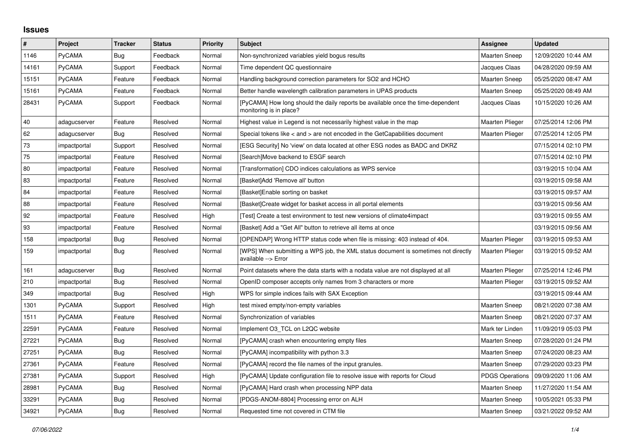## **Issues**

| #     | Project       | <b>Tracker</b> | <b>Status</b> | <b>Priority</b> | <b>Subject</b>                                                                                             | Assignee               | <b>Updated</b>      |
|-------|---------------|----------------|---------------|-----------------|------------------------------------------------------------------------------------------------------------|------------------------|---------------------|
| 1146  | PyCAMA        | Bug            | Feedback      | Normal          | Non-synchronized variables yield bogus results                                                             | <b>Maarten Sneep</b>   | 12/09/2020 10:44 AM |
| 14161 | PyCAMA        | Support        | Feedback      | Normal          | Time dependent QC questionnaire                                                                            | Jacques Claas          | 04/28/2020 09:59 AM |
| 15151 | PyCAMA        | Feature        | Feedback      | Normal          | Handling background correction parameters for SO2 and HCHO                                                 | <b>Maarten Sneep</b>   | 05/25/2020 08:47 AM |
| 15161 | PyCAMA        | Feature        | Feedback      | Normal          | Better handle wavelength calibration parameters in UPAS products                                           | <b>Maarten Sneep</b>   | 05/25/2020 08:49 AM |
| 28431 | <b>PyCAMA</b> | Support        | Feedback      | Normal          | [PyCAMA] How long should the daily reports be available once the time-dependent<br>monitoring is in place? | Jacques Claas          | 10/15/2020 10:26 AM |
| 40    | adagucserver  | Feature        | Resolved      | Normal          | Highest value in Legend is not necessarily highest value in the map                                        | Maarten Plieger        | 07/25/2014 12:06 PM |
| 62    | adagucserver  | Bug            | Resolved      | Normal          | Special tokens like $\lt$ and $\gt$ are not encoded in the GetCapabilities document                        | <b>Maarten Plieger</b> | 07/25/2014 12:05 PM |
| 73    | impactportal  | Support        | Resolved      | Normal          | [ESG Security] No 'view' on data located at other ESG nodes as BADC and DKRZ                               |                        | 07/15/2014 02:10 PM |
| 75    | impactportal  | Feature        | Resolved      | Normal          | [Search]Move backend to ESGF search                                                                        |                        | 07/15/2014 02:10 PM |
| 80    | impactportal  | Feature        | Resolved      | Normal          | [Transformation] CDO indices calculations as WPS service                                                   |                        | 03/19/2015 10:04 AM |
| 83    | impactportal  | Feature        | Resolved      | Normal          | [Basket]Add 'Remove all' button                                                                            |                        | 03/19/2015 09:58 AM |
| 84    | impactportal  | Feature        | Resolved      | Normal          | [Basket]Enable sorting on basket                                                                           |                        | 03/19/2015 09:57 AM |
| 88    | impactportal  | Feature        | Resolved      | Normal          | [Basket]Create widget for basket access in all portal elements                                             |                        | 03/19/2015 09:56 AM |
| 92    | impactportal  | Feature        | Resolved      | High            | [Test] Create a test environment to test new versions of climate4impact                                    |                        | 03/19/2015 09:55 AM |
| 93    | impactportal  | Feature        | Resolved      | Normal          | [Basket] Add a "Get All" button to retrieve all items at once                                              |                        | 03/19/2015 09:56 AM |
| 158   | impactportal  | Bug            | Resolved      | Normal          | [OPENDAP] Wrong HTTP status code when file is missing: 403 instead of 404.                                 | <b>Maarten Plieger</b> | 03/19/2015 09:53 AM |
| 159   | impactportal  | Bug            | Resolved      | Normal          | [WPS] When submitting a WPS job, the XML status document is sometimes not directly<br>available --> Error  | Maarten Plieger        | 03/19/2015 09:52 AM |
| 161   | adagucserver  | <b>Bug</b>     | Resolved      | Normal          | Point datasets where the data starts with a nodata value are not displayed at all                          | Maarten Plieger        | 07/25/2014 12:46 PM |
| 210   | impactportal  | <b>Bug</b>     | Resolved      | Normal          | OpenID composer accepts only names from 3 characters or more                                               | <b>Maarten Plieger</b> | 03/19/2015 09:52 AM |
| 349   | impactportal  | <b>Bug</b>     | Resolved      | High            | WPS for simple indices fails with SAX Exception                                                            |                        | 03/19/2015 09:44 AM |
| 1301  | <b>PyCAMA</b> | Support        | Resolved      | High            | test mixed empty/non-empty variables                                                                       | <b>Maarten Sneep</b>   | 08/21/2020 07:38 AM |
| 1511  | PyCAMA        | Feature        | Resolved      | Normal          | Synchronization of variables                                                                               | <b>Maarten Sneep</b>   | 08/21/2020 07:37 AM |
| 22591 | PyCAMA        | Feature        | Resolved      | Normal          | Implement O3 TCL on L2QC website                                                                           | Mark ter Linden        | 11/09/2019 05:03 PM |
| 27221 | <b>PyCAMA</b> | Bug            | Resolved      | Normal          | [PyCAMA] crash when encountering empty files                                                               | <b>Maarten Sneep</b>   | 07/28/2020 01:24 PM |
| 27251 | <b>PyCAMA</b> | Bug            | Resolved      | Normal          | [PyCAMA] incompatibility with python 3.3                                                                   | Maarten Sneep          | 07/24/2020 08:23 AM |
| 27361 | PyCAMA        | Feature        | Resolved      | Normal          | [PyCAMA] record the file names of the input granules.                                                      | <b>Maarten Sneep</b>   | 07/29/2020 03:23 PM |
| 27381 | PyCAMA        | Support        | Resolved      | High            | [PyCAMA] Update configuration file to resolve issue with reports for Cloud                                 | PDGS Operations        | 09/09/2020 11:06 AM |
| 28981 | PyCAMA        | Bug            | Resolved      | Normal          | [PyCAMA] Hard crash when processing NPP data                                                               | <b>Maarten Sneep</b>   | 11/27/2020 11:54 AM |
| 33291 | PyCAMA        | Bug            | Resolved      | Normal          | [PDGS-ANOM-8804] Processing error on ALH                                                                   | <b>Maarten Sneep</b>   | 10/05/2021 05:33 PM |
| 34921 | <b>PyCAMA</b> | Bug            | Resolved      | Normal          | Requested time not covered in CTM file                                                                     | <b>Maarten Sneep</b>   | 03/21/2022 09:52 AM |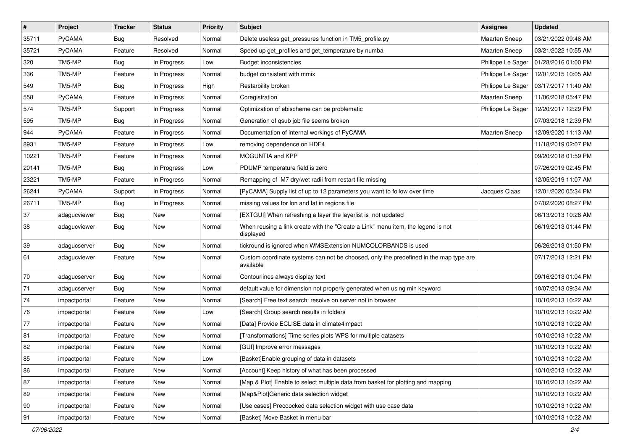| $\vert$ # | Project      | <b>Tracker</b> | <b>Status</b> | <b>Priority</b> | <b>Subject</b>                                                                                     | <b>Assignee</b>      | <b>Updated</b>      |
|-----------|--------------|----------------|---------------|-----------------|----------------------------------------------------------------------------------------------------|----------------------|---------------------|
| 35711     | PyCAMA       | <b>Bug</b>     | Resolved      | Normal          | Delete useless get pressures function in TM5 profile.py                                            | <b>Maarten Sneep</b> | 03/21/2022 09:48 AM |
| 35721     | PyCAMA       | Feature        | Resolved      | Normal          | Speed up get_profiles and get_temperature by numba                                                 | Maarten Sneep        | 03/21/2022 10:55 AM |
| 320       | TM5-MP       | <b>Bug</b>     | In Progress   | Low             | <b>Budget inconsistencies</b>                                                                      | Philippe Le Sager    | 01/28/2016 01:00 PM |
| 336       | TM5-MP       | Feature        | In Progress   | Normal          | budget consistent with mmix                                                                        | Philippe Le Sager    | 12/01/2015 10:05 AM |
| 549       | TM5-MP       | <b>Bug</b>     | In Progress   | High            | Restarbility broken                                                                                | Philippe Le Sager    | 03/17/2017 11:40 AM |
| 558       | PyCAMA       | Feature        | In Progress   | Normal          | Coregistration                                                                                     | Maarten Sneep        | 11/06/2018 05:47 PM |
| 574       | TM5-MP       | Support        | In Progress   | Normal          | Optimization of ebischeme can be problematic                                                       | Philippe Le Sager    | 12/20/2017 12:29 PM |
| 595       | TM5-MP       | <b>Bug</b>     | In Progress   | Normal          | Generation of qsub job file seems broken                                                           |                      | 07/03/2018 12:39 PM |
| 944       | PyCAMA       | Feature        | In Progress   | Normal          | Documentation of internal workings of PyCAMA                                                       | Maarten Sneep        | 12/09/2020 11:13 AM |
| 8931      | TM5-MP       | Feature        | In Progress   | Low             | removing dependence on HDF4                                                                        |                      | 11/18/2019 02:07 PM |
| 10221     | TM5-MP       | Feature        | In Progress   | Normal          | MOGUNTIA and KPP                                                                                   |                      | 09/20/2018 01:59 PM |
| 20141     | TM5-MP       | <b>Bug</b>     | In Progress   | Low             | PDUMP temperature field is zero                                                                    |                      | 07/26/2019 02:45 PM |
| 23221     | TM5-MP       | Feature        | In Progress   | Normal          | Remapping of M7 dry/wet radii from restart file missing                                            |                      | 12/05/2019 11:07 AM |
| 26241     | PyCAMA       | Support        | In Progress   | Normal          | [PyCAMA] Supply list of up to 12 parameters you want to follow over time                           | Jacques Claas        | 12/01/2020 05:34 PM |
| 26711     | TM5-MP       | <b>Bug</b>     | In Progress   | Normal          | missing values for lon and lat in regions file                                                     |                      | 07/02/2020 08:27 PM |
| 37        | adagucviewer | <b>Bug</b>     | New           | Normal          | [EXTGUI] When refreshing a layer the layerlist is not updated                                      |                      | 06/13/2013 10:28 AM |
| 38        | adagucviewer | <b>Bug</b>     | New           | Normal          | When reusing a link create with the "Create a Link" menu item, the legend is not<br>displayed      |                      | 06/19/2013 01:44 PM |
| 39        | adagucserver | Bug            | <b>New</b>    | Normal          | tickround is ignored when WMSExtension NUMCOLORBANDS is used                                       |                      | 06/26/2013 01:50 PM |
| 61        | adagucviewer | Feature        | New           | Normal          | Custom coordinate systems can not be choosed, only the predefined in the map type are<br>available |                      | 07/17/2013 12:21 PM |
| 70        | adagucserver | <b>Bug</b>     | New           | Normal          | Contourlines always display text                                                                   |                      | 09/16/2013 01:04 PM |
| 71        | adagucserver | <b>Bug</b>     | New           | Normal          | default value for dimension not properly generated when using min keyword                          |                      | 10/07/2013 09:34 AM |
| 74        | impactportal | Feature        | New           | Normal          | [Search] Free text search: resolve on server not in browser                                        |                      | 10/10/2013 10:22 AM |
| 76        | impactportal | Feature        | New           | Low             | [Search] Group search results in folders                                                           |                      | 10/10/2013 10:22 AM |
| 77        | impactportal | Feature        | <b>New</b>    | Normal          | [Data] Provide ECLISE data in climate4impact                                                       |                      | 10/10/2013 10:22 AM |
| 81        | impactportal | Feature        | New           | Normal          | [Transformations] Time series plots WPS for multiple datasets                                      |                      | 10/10/2013 10:22 AM |
| 82        | impactportal | Feature        | New           | Normal          | [GUI] Improve error messages                                                                       |                      | 10/10/2013 10:22 AM |
| 85        | impactportal | Feature        | New           | Low             | [Basket] Enable grouping of data in datasets                                                       |                      | 10/10/2013 10:22 AM |
| 86        | impactportal | Feature        | New           | Normal          | [Account] Keep history of what has been processed                                                  |                      | 10/10/2013 10:22 AM |
| 87        | impactportal | Feature        | <b>New</b>    | Normal          | [Map & Plot] Enable to select multiple data from basket for plotting and mapping                   |                      | 10/10/2013 10:22 AM |
| 89        | impactportal | Feature        | New           | Normal          | [Map&Plot]Generic data selection widget                                                            |                      | 10/10/2013 10:22 AM |
| 90        | impactportal | Feature        | New           | Normal          | [Use cases] Precoocked data selection widget with use case data                                    |                      | 10/10/2013 10:22 AM |
| 91        | impactportal | Feature        | New           | Normal          | [Basket] Move Basket in menu bar                                                                   |                      | 10/10/2013 10:22 AM |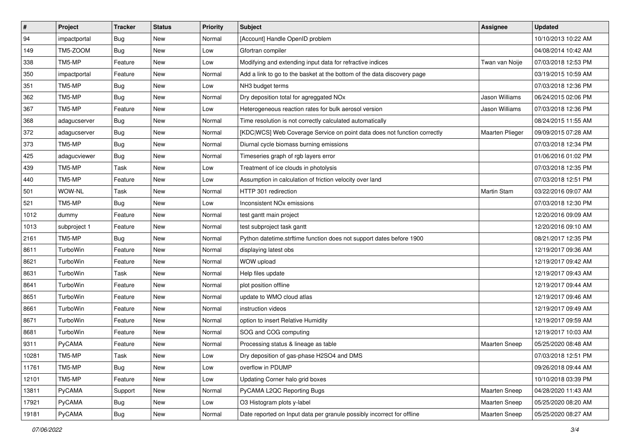| $\sharp$ | Project      | <b>Tracker</b> | <b>Status</b> | <b>Priority</b> | Subject                                                                  | Assignee               | <b>Updated</b>      |
|----------|--------------|----------------|---------------|-----------------|--------------------------------------------------------------------------|------------------------|---------------------|
| 94       | impactportal | <b>Bug</b>     | New           | Normal          | [Account] Handle OpenID problem                                          |                        | 10/10/2013 10:22 AM |
| 149      | TM5-ZOOM     | <b>Bug</b>     | New           | Low             | Gfortran compiler                                                        |                        | 04/08/2014 10:42 AM |
| 338      | TM5-MP       | Feature        | New           | Low             | Modifying and extending input data for refractive indices                | Twan van Noije         | 07/03/2018 12:53 PM |
| 350      | impactportal | Feature        | New           | Normal          | Add a link to go to the basket at the bottom of the data discovery page  |                        | 03/19/2015 10:59 AM |
| 351      | TM5-MP       | <b>Bug</b>     | New           | Low             | NH3 budget terms                                                         |                        | 07/03/2018 12:36 PM |
| 362      | TM5-MP       | <b>Bug</b>     | New           | Normal          | Dry deposition total for agreggated NOx                                  | Jason Williams         | 06/24/2015 02:06 PM |
| 367      | TM5-MP       | Feature        | <b>New</b>    | Low             | Heterogeneous reaction rates for bulk aerosol version                    | Jason Williams         | 07/03/2018 12:36 PM |
| 368      | adagucserver | <b>Bug</b>     | New           | Normal          | Time resolution is not correctly calculated automatically                |                        | 08/24/2015 11:55 AM |
| 372      | adagucserver | Bug            | New           | Normal          | [KDC WCS] Web Coverage Service on point data does not function correctly | <b>Maarten Plieger</b> | 09/09/2015 07:28 AM |
| 373      | TM5-MP       | <b>Bug</b>     | New           | Normal          | Diurnal cycle biomass burning emissions                                  |                        | 07/03/2018 12:34 PM |
| 425      | adagucviewer | <b>Bug</b>     | New           | Normal          | Timeseries graph of rgb layers error                                     |                        | 01/06/2016 01:02 PM |
| 439      | TM5-MP       | Task           | New           | Low             | Treatment of ice clouds in photolysis                                    |                        | 07/03/2018 12:35 PM |
| 440      | TM5-MP       | Feature        | New           | Low             | Assumption in calculation of friction velocity over land                 |                        | 07/03/2018 12:51 PM |
| 501      | WOW-NL       | Task           | New           | Normal          | HTTP 301 redirection                                                     | <b>Martin Stam</b>     | 03/22/2016 09:07 AM |
| 521      | TM5-MP       | Bug            | New           | Low             | Inconsistent NO <sub>x</sub> emissions                                   |                        | 07/03/2018 12:30 PM |
| 1012     | dummy        | Feature        | New           | Normal          | test gantt main project                                                  |                        | 12/20/2016 09:09 AM |
| 1013     | subproject 1 | Feature        | New           | Normal          | test subproject task gantt                                               |                        | 12/20/2016 09:10 AM |
| 2161     | TM5-MP       | <b>Bug</b>     | New           | Normal          | Python datetime.strftime function does not support dates before 1900     |                        | 08/21/2017 12:35 PM |
| 8611     | TurboWin     | Feature        | New           | Normal          | displaying latest obs                                                    |                        | 12/19/2017 09:36 AM |
| 8621     | TurboWin     | Feature        | New           | Normal          | WOW upload                                                               |                        | 12/19/2017 09:42 AM |
| 8631     | TurboWin     | Task           | New           | Normal          | Help files update                                                        |                        | 12/19/2017 09:43 AM |
| 8641     | TurboWin     | Feature        | New           | Normal          | plot position offline                                                    |                        | 12/19/2017 09:44 AM |
| 8651     | TurboWin     | Feature        | <b>New</b>    | Normal          | update to WMO cloud atlas                                                |                        | 12/19/2017 09:46 AM |
| 8661     | TurboWin     | Feature        | New           | Normal          | instruction videos                                                       |                        | 12/19/2017 09:49 AM |
| 8671     | TurboWin     | Feature        | New           | Normal          | option to insert Relative Humidity                                       |                        | 12/19/2017 09:59 AM |
| 8681     | TurboWin     | Feature        | New           | Normal          | SOG and COG computing                                                    |                        | 12/19/2017 10:03 AM |
| 9311     | PyCAMA       | Feature        | New           | Normal          | Processing status & lineage as table                                     | <b>Maarten Sneep</b>   | 05/25/2020 08:48 AM |
| 10281    | TM5-MP       | Task           | New           | Low             | Dry deposition of gas-phase H2SO4 and DMS                                |                        | 07/03/2018 12:51 PM |
| 11761    | TM5-MP       | Bug            | New           | Low             | overflow in PDUMP                                                        |                        | 09/26/2018 09:44 AM |
| 12101    | TM5-MP       | Feature        | New           | Low             | Updating Corner halo grid boxes                                          |                        | 10/10/2018 03:39 PM |
| 13811    | PyCAMA       | Support        | New           | Normal          | PyCAMA L2QC Reporting Bugs                                               | Maarten Sneep          | 04/28/2020 11:43 AM |
| 17921    | PyCAMA       | <b>Bug</b>     | New           | Low             | O3 Histogram plots y-label                                               | Maarten Sneep          | 05/25/2020 08:20 AM |
| 19181    | PyCAMA       | Bug            | New           | Normal          | Date reported on Input data per granule possibly incorrect for offline   | Maarten Sneep          | 05/25/2020 08:27 AM |